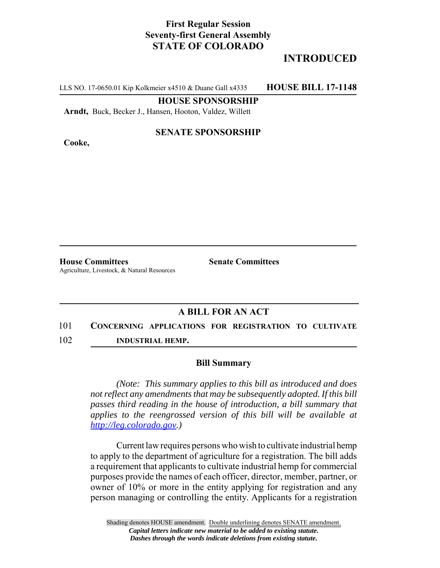## **First Regular Session Seventy-first General Assembly STATE OF COLORADO**

# **INTRODUCED**

LLS NO. 17-0650.01 Kip Kolkmeier x4510 & Duane Gall x4335 **HOUSE BILL 17-1148**

#### **HOUSE SPONSORSHIP**

**Arndt,** Buck, Becker J., Hansen, Hooton, Valdez, Willett

**Cooke,**

### **SENATE SPONSORSHIP**

**House Committees Senate Committees** Agriculture, Livestock, & Natural Resources

### **A BILL FOR AN ACT**

## 101 **CONCERNING APPLICATIONS FOR REGISTRATION TO CULTIVATE**

102 **INDUSTRIAL HEMP.**

#### **Bill Summary**

*(Note: This summary applies to this bill as introduced and does not reflect any amendments that may be subsequently adopted. If this bill passes third reading in the house of introduction, a bill summary that applies to the reengrossed version of this bill will be available at http://leg.colorado.gov.)*

Current law requires persons who wish to cultivate industrial hemp to apply to the department of agriculture for a registration. The bill adds a requirement that applicants to cultivate industrial hemp for commercial purposes provide the names of each officer, director, member, partner, or owner of 10% or more in the entity applying for registration and any person managing or controlling the entity. Applicants for a registration

Shading denotes HOUSE amendment. Double underlining denotes SENATE amendment. *Capital letters indicate new material to be added to existing statute. Dashes through the words indicate deletions from existing statute.*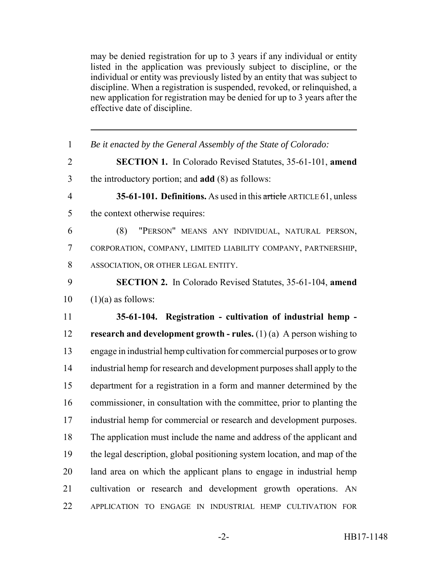may be denied registration for up to 3 years if any individual or entity listed in the application was previously subject to discipline, or the individual or entity was previously listed by an entity that was subject to discipline. When a registration is suspended, revoked, or relinquished, a new application for registration may be denied for up to 3 years after the effective date of discipline.

| $\mathbf{1}$   | Be it enacted by the General Assembly of the State of Colorado:           |
|----------------|---------------------------------------------------------------------------|
| $\overline{2}$ | <b>SECTION 1.</b> In Colorado Revised Statutes, 35-61-101, amend          |
| 3              | the introductory portion; and <b>add</b> (8) as follows:                  |
| $\overline{4}$ | 35-61-101. Definitions. As used in this article ARTICLE 61, unless        |
| 5              | the context otherwise requires:                                           |
| 6              | "PERSON" MEANS ANY INDIVIDUAL, NATURAL PERSON,<br>(8)                     |
| $\overline{7}$ | CORPORATION, COMPANY, LIMITED LIABILITY COMPANY, PARTNERSHIP,             |
| 8              | ASSOCIATION, OR OTHER LEGAL ENTITY.                                       |
| 9              | <b>SECTION 2.</b> In Colorado Revised Statutes, 35-61-104, amend          |
| 10             | $(1)(a)$ as follows:                                                      |
| 11             | 35-61-104. Registration - cultivation of industrial hemp -                |
|                |                                                                           |
| 12             | research and development growth - rules. $(1)(a)$ A person wishing to     |
| 13             | engage in industrial hemp cultivation for commercial purposes or to grow  |
| 14             | industrial hemp for research and development purposes shall apply to the  |
| 15             | department for a registration in a form and manner determined by the      |
| 16             | commissioner, in consultation with the committee, prior to planting the   |
| 17             | industrial hemp for commercial or research and development purposes.      |
| 18             | The application must include the name and address of the applicant and    |
| 19             | the legal description, global positioning system location, and map of the |
| 20             | land area on which the applicant plans to engage in industrial hemp       |
| 21             | cultivation or research and development growth operations. AN             |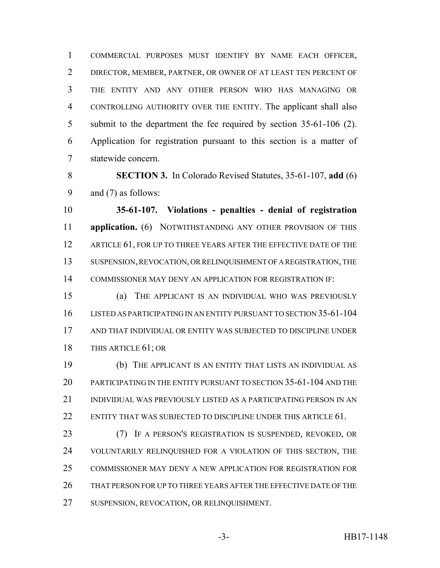COMMERCIAL PURPOSES MUST IDENTIFY BY NAME EACH OFFICER, DIRECTOR, MEMBER, PARTNER, OR OWNER OF AT LEAST TEN PERCENT OF THE ENTITY AND ANY OTHER PERSON WHO HAS MANAGING OR CONTROLLING AUTHORITY OVER THE ENTITY. The applicant shall also submit to the department the fee required by section 35-61-106 (2). Application for registration pursuant to this section is a matter of statewide concern.

 **SECTION 3.** In Colorado Revised Statutes, 35-61-107, **add** (6) and (7) as follows:

 **35-61-107. Violations - penalties - denial of registration application.** (6) NOTWITHSTANDING ANY OTHER PROVISION OF THIS 12 ARTICLE 61, FOR UP TO THREE YEARS AFTER THE EFFECTIVE DATE OF THE SUSPENSION, REVOCATION, OR RELINQUISHMENT OF A REGISTRATION, THE COMMISSIONER MAY DENY AN APPLICATION FOR REGISTRATION IF:

 (a) THE APPLICANT IS AN INDIVIDUAL WHO WAS PREVIOUSLY LISTED AS PARTICIPATING IN AN ENTITY PURSUANT TO SECTION 35-61-104 AND THAT INDIVIDUAL OR ENTITY WAS SUBJECTED TO DISCIPLINE UNDER THIS ARTICLE 61; OR

 (b) THE APPLICANT IS AN ENTITY THAT LISTS AN INDIVIDUAL AS PARTICIPATING IN THE ENTITY PURSUANT TO SECTION 35-61-104 AND THE INDIVIDUAL WAS PREVIOUSLY LISTED AS A PARTICIPATING PERSON IN AN ENTITY THAT WAS SUBJECTED TO DISCIPLINE UNDER THIS ARTICLE 61.

 (7) IF A PERSON'S REGISTRATION IS SUSPENDED, REVOKED, OR VOLUNTARILY RELINQUISHED FOR A VIOLATION OF THIS SECTION, THE COMMISSIONER MAY DENY A NEW APPLICATION FOR REGISTRATION FOR THAT PERSON FOR UP TO THREE YEARS AFTER THE EFFECTIVE DATE OF THE SUSPENSION, REVOCATION, OR RELINQUISHMENT.